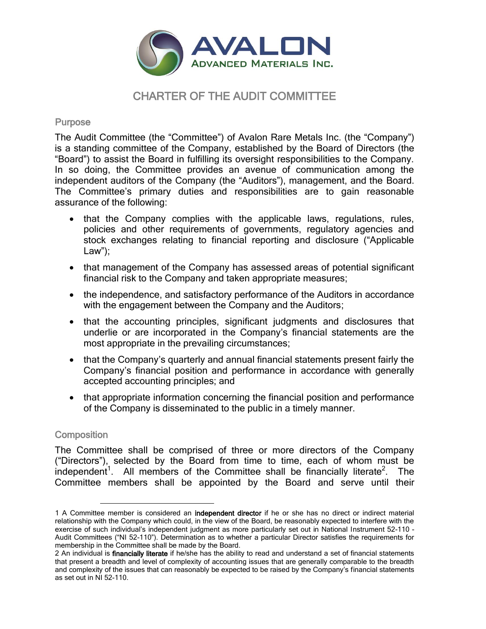

# CHARTER OF THE AUDIT COMMITTEE

## Purpose

The Audit Committee (the "Committee") of Avalon Rare Metals Inc. (the "Company") is a standing committee of the Company, established by the Board of Directors (the "Board") to assist the Board in fulfilling its oversight responsibilities to the Company. In so doing, the Committee provides an avenue of communication among the independent auditors of the Company (the "Auditors"), management, and the Board. The Committee's primary duties and responsibilities are to gain reasonable assurance of the following:

- that the Company complies with the applicable laws, regulations, rules, policies and other requirements of governments, regulatory agencies and stock exchanges relating to financial reporting and disclosure ("Applicable Law");
- that management of the Company has assessed areas of potential significant financial risk to the Company and taken appropriate measures;
- the independence, and satisfactory performance of the Auditors in accordance with the engagement between the Company and the Auditors;
- that the accounting principles, significant judgments and disclosures that underlie or are incorporated in the Company's financial statements are the most appropriate in the prevailing circumstances;
- that the Company's quarterly and annual financial statements present fairly the Company's financial position and performance in accordance with generally accepted accounting principles; and
- that appropriate information concerning the financial position and performance of the Company is disseminated to the public in a timely manner.

# **Composition**

L,

The Committee shall be comprised of three or more directors of the Company ("Directors"), selected by the Board from time to time, each of whom must be independent<sup>1</sup>. All members of the Committee shall be financially literate<sup>2</sup>. The Committee members shall be appointed by the Board and serve until their

<sup>1</sup> A Committee member is considered an independent director if he or she has no direct or indirect material relationship with the Company which could, in the view of the Board, be reasonably expected to interfere with the exercise of such individual's independent judgment as more particularly set out in National Instrument 52-110 - Audit Committees ("NI 52-110"). Determination as to whether a particular Director satisfies the requirements for membership in the Committee shall be made by the Board.

<sup>2</sup> An individual is **financially literate** if he/she has the ability to read and understand a set of financial statements that present a breadth and level of complexity of accounting issues that are generally comparable to the breadth and complexity of the issues that can reasonably be expected to be raised by the Company's financial statements as set out in NI 52-110.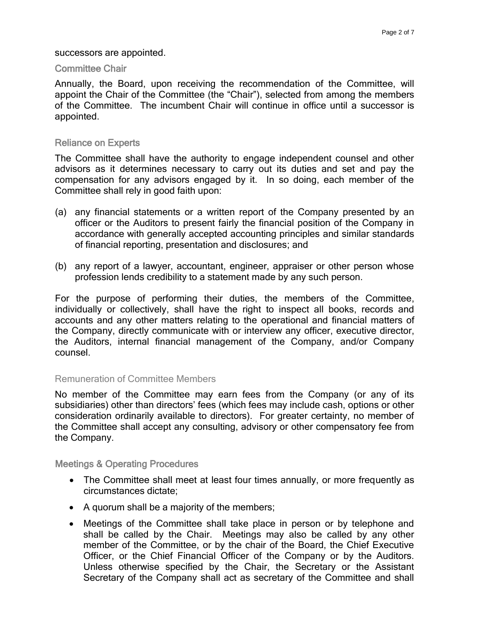#### successors are appointed.

#### Committee Chair

Annually, the Board, upon receiving the recommendation of the Committee, will appoint the Chair of the Committee (the "Chair"), selected from among the members of the Committee. The incumbent Chair will continue in office until a successor is appointed.

#### Reliance on Experts

The Committee shall have the authority to engage independent counsel and other advisors as it determines necessary to carry out its duties and set and pay the compensation for any advisors engaged by it. In so doing, each member of the Committee shall rely in good faith upon:

- (a) any financial statements or a written report of the Company presented by an officer or the Auditors to present fairly the financial position of the Company in accordance with generally accepted accounting principles and similar standards of financial reporting, presentation and disclosures; and
- (b) any report of a lawyer, accountant, engineer, appraiser or other person whose profession lends credibility to a statement made by any such person.

For the purpose of performing their duties, the members of the Committee, individually or collectively, shall have the right to inspect all books, records and accounts and any other matters relating to the operational and financial matters of the Company, directly communicate with or interview any officer, executive director, the Auditors, internal financial management of the Company, and/or Company counsel.

#### Remuneration of Committee Members

No member of the Committee may earn fees from the Company (or any of its subsidiaries) other than directors' fees (which fees may include cash, options or other consideration ordinarily available to directors). For greater certainty, no member of the Committee shall accept any consulting, advisory or other compensatory fee from the Company.

Meetings & Operating Procedures

- The Committee shall meet at least four times annually, or more frequently as circumstances dictate;
- A quorum shall be a majority of the members;
- Meetings of the Committee shall take place in person or by telephone and shall be called by the Chair. Meetings may also be called by any other member of the Committee, or by the chair of the Board, the Chief Executive Officer, or the Chief Financial Officer of the Company or by the Auditors. Unless otherwise specified by the Chair, the Secretary or the Assistant Secretary of the Company shall act as secretary of the Committee and shall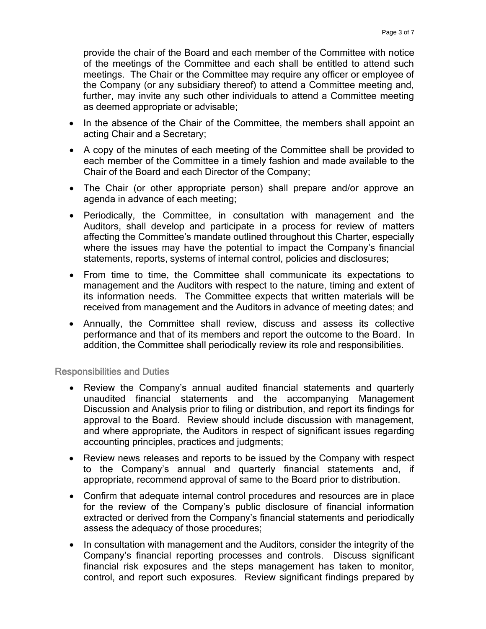provide the chair of the Board and each member of the Committee with notice of the meetings of the Committee and each shall be entitled to attend such meetings. The Chair or the Committee may require any officer or employee of the Company (or any subsidiary thereof) to attend a Committee meeting and, further, may invite any such other individuals to attend a Committee meeting as deemed appropriate or advisable;

- In the absence of the Chair of the Committee, the members shall appoint an acting Chair and a Secretary;
- A copy of the minutes of each meeting of the Committee shall be provided to each member of the Committee in a timely fashion and made available to the Chair of the Board and each Director of the Company;
- The Chair (or other appropriate person) shall prepare and/or approve an agenda in advance of each meeting;
- Periodically, the Committee, in consultation with management and the Auditors, shall develop and participate in a process for review of matters affecting the Committee's mandate outlined throughout this Charter, especially where the issues may have the potential to impact the Company's financial statements, reports, systems of internal control, policies and disclosures;
- From time to time, the Committee shall communicate its expectations to management and the Auditors with respect to the nature, timing and extent of its information needs. The Committee expects that written materials will be received from management and the Auditors in advance of meeting dates; and
- Annually, the Committee shall review, discuss and assess its collective performance and that of its members and report the outcome to the Board. In addition, the Committee shall periodically review its role and responsibilities.

Responsibilities and Duties

- Review the Company's annual audited financial statements and quarterly unaudited financial statements and the accompanying Management Discussion and Analysis prior to filing or distribution, and report its findings for approval to the Board. Review should include discussion with management, and where appropriate, the Auditors in respect of significant issues regarding accounting principles, practices and judgments;
- Review news releases and reports to be issued by the Company with respect to the Company's annual and quarterly financial statements and, if appropriate, recommend approval of same to the Board prior to distribution.
- Confirm that adequate internal control procedures and resources are in place for the review of the Company's public disclosure of financial information extracted or derived from the Company's financial statements and periodically assess the adequacy of those procedures;
- In consultation with management and the Auditors, consider the integrity of the Company's financial reporting processes and controls. Discuss significant financial risk exposures and the steps management has taken to monitor, control, and report such exposures. Review significant findings prepared by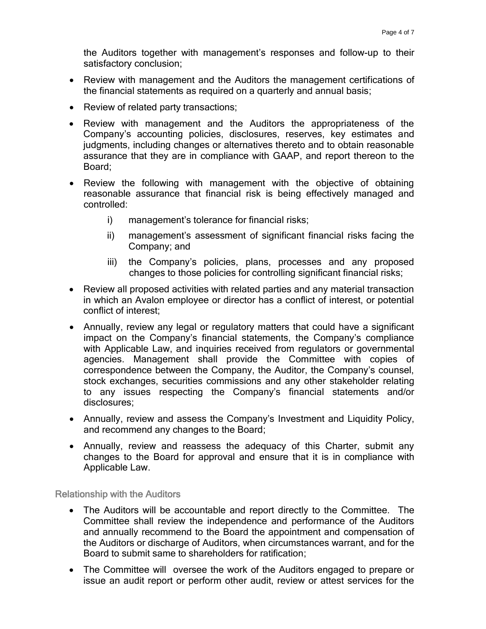the Auditors together with management's responses and follow-up to their satisfactory conclusion;

- Review with management and the Auditors the management certifications of the financial statements as required on a quarterly and annual basis;
- Review of related party transactions;
- Review with management and the Auditors the appropriateness of the Company's accounting policies, disclosures, reserves, key estimates and judgments, including changes or alternatives thereto and to obtain reasonable assurance that they are in compliance with GAAP, and report thereon to the Board;
- Review the following with management with the objective of obtaining reasonable assurance that financial risk is being effectively managed and controlled:
	- i) management's tolerance for financial risks;
	- ii) management's assessment of significant financial risks facing the Company; and
	- iii) the Company's policies, plans, processes and any proposed changes to those policies for controlling significant financial risks;
- Review all proposed activities with related parties and any material transaction in which an Avalon employee or director has a conflict of interest, or potential conflict of interest;
- Annually, review any legal or regulatory matters that could have a significant impact on the Company's financial statements, the Company's compliance with Applicable Law, and inquiries received from regulators or governmental agencies. Management shall provide the Committee with copies of correspondence between the Company, the Auditor, the Company's counsel, stock exchanges, securities commissions and any other stakeholder relating to any issues respecting the Company's financial statements and/or disclosures;
- Annually, review and assess the Company's Investment and Liquidity Policy, and recommend any changes to the Board;
- Annually, review and reassess the adequacy of this Charter, submit any changes to the Board for approval and ensure that it is in compliance with Applicable Law.

Relationship with the Auditors

- The Auditors will be accountable and report directly to the Committee. The Committee shall review the independence and performance of the Auditors and annually recommend to the Board the appointment and compensation of the Auditors or discharge of Auditors, when circumstances warrant, and for the Board to submit same to shareholders for ratification;
- The Committee will oversee the work of the Auditors engaged to prepare or issue an audit report or perform other audit, review or attest services for the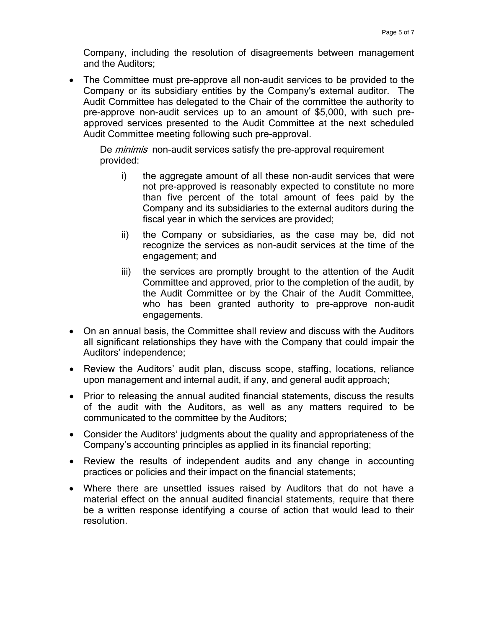Company, including the resolution of disagreements between management and the Auditors;

 The Committee must pre-approve all non-audit services to be provided to the Company or its subsidiary entities by the Company's external auditor. The Audit Committee has delegated to the Chair of the committee the authority to pre-approve non-audit services up to an amount of \$5,000, with such preapproved services presented to the Audit Committee at the next scheduled Audit Committee meeting following such pre-approval.

De *minimis* non-audit services satisfy the pre-approval requirement provided:

- i) the aggregate amount of all these non-audit services that were not pre-approved is reasonably expected to constitute no more than five percent of the total amount of fees paid by the Company and its subsidiaries to the external auditors during the fiscal year in which the services are provided;
- ii) the Company or subsidiaries, as the case may be, did not recognize the services as non-audit services at the time of the engagement; and
- iii) the services are promptly brought to the attention of the Audit Committee and approved, prior to the completion of the audit, by the Audit Committee or by the Chair of the Audit Committee, who has been granted authority to pre-approve non-audit engagements.
- On an annual basis, the Committee shall review and discuss with the Auditors all significant relationships they have with the Company that could impair the Auditors' independence;
- Review the Auditors' audit plan, discuss scope, staffing, locations, reliance upon management and internal audit, if any, and general audit approach;
- Prior to releasing the annual audited financial statements, discuss the results of the audit with the Auditors, as well as any matters required to be communicated to the committee by the Auditors;
- Consider the Auditors' judgments about the quality and appropriateness of the Company's accounting principles as applied in its financial reporting;
- Review the results of independent audits and any change in accounting practices or policies and their impact on the financial statements;
- Where there are unsettled issues raised by Auditors that do not have a material effect on the annual audited financial statements, require that there be a written response identifying a course of action that would lead to their resolution.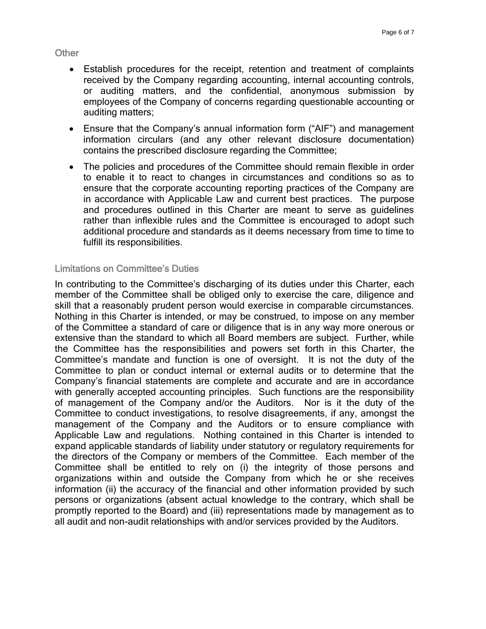**Other** 

- Establish procedures for the receipt, retention and treatment of complaints received by the Company regarding accounting, internal accounting controls, or auditing matters, and the confidential, anonymous submission by employees of the Company of concerns regarding questionable accounting or auditing matters;
- Ensure that the Company's annual information form ("AIF") and management information circulars (and any other relevant disclosure documentation) contains the prescribed disclosure regarding the Committee;
- The policies and procedures of the Committee should remain flexible in order to enable it to react to changes in circumstances and conditions so as to ensure that the corporate accounting reporting practices of the Company are in accordance with Applicable Law and current best practices. The purpose and procedures outlined in this Charter are meant to serve as guidelines rather than inflexible rules and the Committee is encouraged to adopt such additional procedure and standards as it deems necessary from time to time to fulfill its responsibilities.

### Limitations on Committee's Duties

In contributing to the Committee's discharging of its duties under this Charter, each member of the Committee shall be obliged only to exercise the care, diligence and skill that a reasonably prudent person would exercise in comparable circumstances. Nothing in this Charter is intended, or may be construed, to impose on any member of the Committee a standard of care or diligence that is in any way more onerous or extensive than the standard to which all Board members are subject. Further, while the Committee has the responsibilities and powers set forth in this Charter, the Committee's mandate and function is one of oversight. It is not the duty of the Committee to plan or conduct internal or external audits or to determine that the Company's financial statements are complete and accurate and are in accordance with generally accepted accounting principles. Such functions are the responsibility of management of the Company and/or the Auditors. Nor is it the duty of the Committee to conduct investigations, to resolve disagreements, if any, amongst the management of the Company and the Auditors or to ensure compliance with Applicable Law and regulations. Nothing contained in this Charter is intended to expand applicable standards of liability under statutory or regulatory requirements for the directors of the Company or members of the Committee. Each member of the Committee shall be entitled to rely on (i) the integrity of those persons and organizations within and outside the Company from which he or she receives information (ii) the accuracy of the financial and other information provided by such persons or organizations (absent actual knowledge to the contrary, which shall be promptly reported to the Board) and (iii) representations made by management as to all audit and non-audit relationships with and/or services provided by the Auditors.